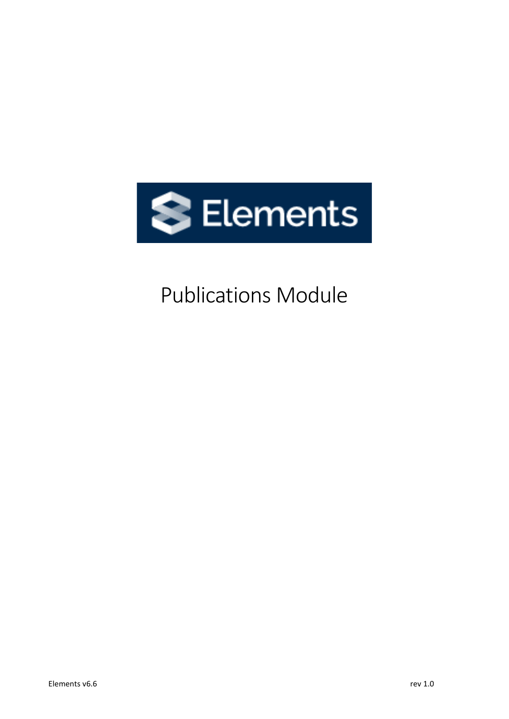

# Publications Module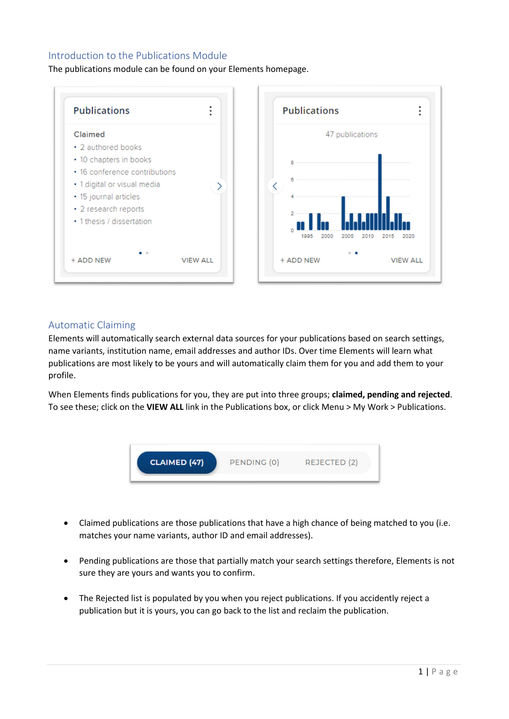## Introduction to the Publications Module

The publications module can be found on your Elements homepage.



## Automatic Claiming

Elements will automatically search external data sources for your publications based on search settings, name variants, institution name, email addresses and author IDs. Over time Elements will learn what publications are most likely to be yours and will automatically claim them for you and add them to your profile.

When Elements finds publications for you, they are put into three groups; **claimed, pending and rejected**. To see these; click on the **VIEW ALL** link in the Publications box, or click Menu > My Work > Publications.



- Claimed publications are those publications that have a high chance of being matched to you (i.e. matches your name variants, author ID and email addresses).
- Pending publications are those that partially match your search settings therefore, Elements is not sure they are yours and wants you to confirm.
- The Rejected list is populated by you when you reject publications. If you accidently reject a publication but it is yours, you can go back to the list and reclaim the publication.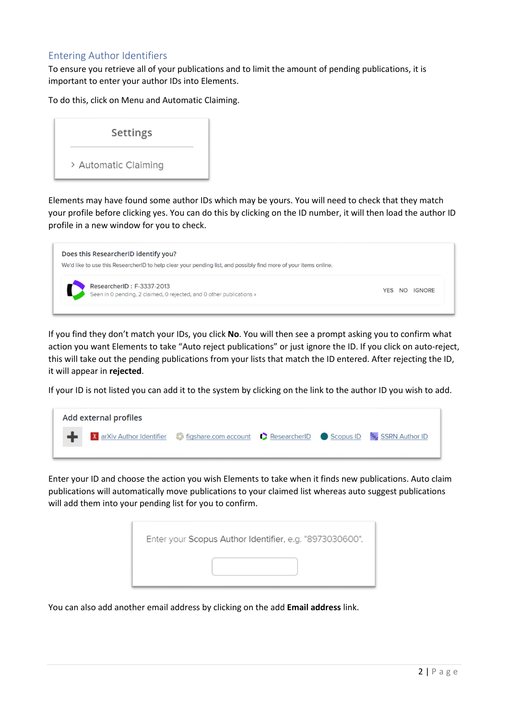## Entering Author Identifiers

To ensure you retrieve all of your publications and to limit the amount of pending publications, it is important to enter your author IDs into Elements.

To do this, click on Menu and Automatic Claiming.



Elements may have found some author IDs which may be yours. You will need to check that they match your profile before clicking yes. You can do this by clicking on the ID number, it will then load the author ID profile in a new window for you to check.



If you find they don't match your IDs, you click **No**. You will then see a prompt asking you to confirm what action you want Elements to take "Auto reject publications" or just ignore the ID. If you click on auto-reject, this will take out the pending publications from your lists that match the ID entered. After rejecting the ID, it will appear in **rejected**.

If your ID is not listed you can add it to the system by clicking on the link to the author ID you wish to add.



Enter your ID and choose the action you wish Elements to take when it finds new publications. Auto claim publications will automatically move publications to your claimed list whereas auto suggest publications will add them into your pending list for you to confirm.

| Enter your Scopus Author Identifier, e.g. "8973030600". |  |
|---------------------------------------------------------|--|
|                                                         |  |

You can also add another email address by clicking on the add **Email address** link.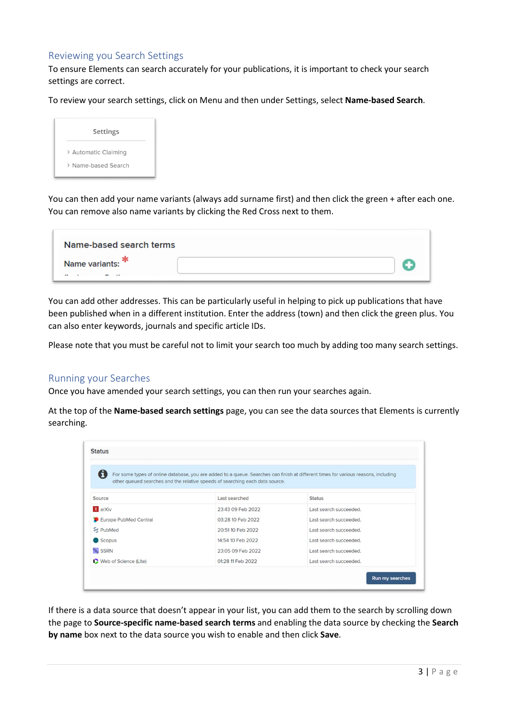## Reviewing you Search Settings

To ensure Elements can search accurately for your publications, it is important to check your search settings are correct.

To review your search settings, click on Menu and then under Settings, select **Name-based Search**.



You can then add your name variants (always add surname first) and then click the green + after each one. You can remove also name variants by clicking the Red Cross next to them.

| Name-based search terms  |  |
|--------------------------|--|
| Name variants:<br>$\sim$ |  |

You can add other addresses. This can be particularly useful in helping to pick up publications that have been published when in a different institution. Enter the address (town) and then click the green plus. You can also enter keywords, journals and specific article IDs.

Please note that you must be careful not to limit your search too much by adding too many search settings.

#### Running your Searches

Once you have amended your search settings, you can then run your searches again.

At the top of the **Name-based search settings** page, you can see the data sources that Elements is currently searching.

| Ħ                     | other queued searches and the relative speeds of searching each data source. | For some types of online database, you are added to a queue. Searches can finish at different times for various reasons, including |
|-----------------------|------------------------------------------------------------------------------|------------------------------------------------------------------------------------------------------------------------------------|
| Source                | Last searched                                                                | <b>Status</b>                                                                                                                      |
| <b>X</b> arXiv        | 23:43 09 Feb 2022                                                            | Last search succeeded.                                                                                                             |
| Europe PubMed Central | 03:28 10 Feb 2022                                                            | Last search succeeded.                                                                                                             |
| <b>&amp;</b> PubMed   | 20:51 10 Feb 2022                                                            | Last search succeeded.                                                                                                             |
| Scopus                | 14:54 10 Feb 2022                                                            | Last search succeeded.                                                                                                             |
| <b>SRN</b> SSRN       | 23:05 09 Feb 2022                                                            | Last search succeeded.                                                                                                             |
| Web of Science (Lite) | 01:28 11 Feb 2022                                                            | Last search succeeded.                                                                                                             |

If there is a data source that doesn't appear in your list, you can add them to the search by scrolling down the page to **Source-specific name-based search terms** and enabling the data source by checking the **Search by name** box next to the data source you wish to enable and then click **Save**.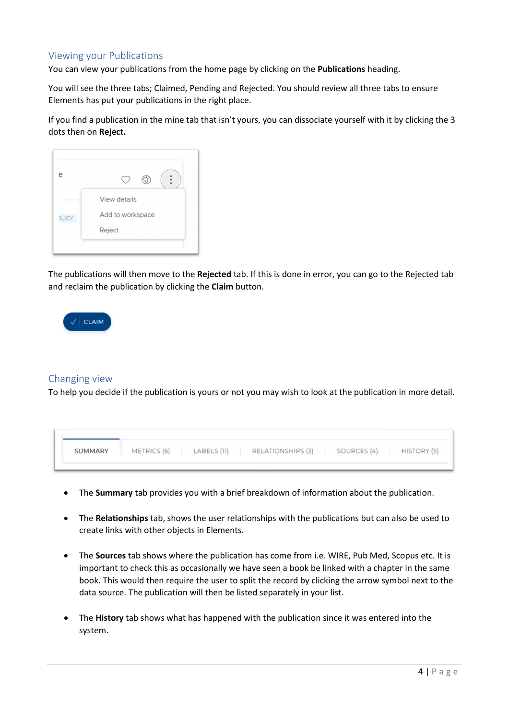## Viewing your Publications

You can view your publications from the home page by clicking on the **Publications** heading.

You will see the three tabs; Claimed, Pending and Rejected. You should review all three tabs to ensure Elements has put your publications in the right place.

If you find a publication in the mine tab that isn't yours, you can dissociate yourself with it by clicking the 3 dots then on **Reject.**

| e            |                     |
|--------------|---------------------|
|              | <b>View details</b> |
| <b>DLICY</b> | Add to workspace    |
|              | Reject              |

The publications will then move to the **Rejected** tab. If this is done in error, you can go to the Rejected tab and reclaim the publication by clicking the **Claim** button.



#### Changing view

To help you decide if the publication is yours or not you may wish to look at the publication in more detail.

| <b>SUMMARY</b> | METRICS (6) | LABELS (11) | <b>RELATIONSHIPS (3)</b> | SOURCES (4) | HISTORY (5) |
|----------------|-------------|-------------|--------------------------|-------------|-------------|

- The **Summary** tab provides you with a brief breakdown of information about the publication.
- The **Relationships** tab, shows the user relationships with the publications but can also be used to create links with other objects in Elements.
- The **Sources** tab shows where the publication has come from i.e. WIRE, Pub Med, Scopus etc. It is important to check this as occasionally we have seen a book be linked with a chapter in the same book. This would then require the user to split the record by clicking the arrow symbol next to the data source. The publication will then be listed separately in your list.
- The **History** tab shows what has happened with the publication since it was entered into the system.